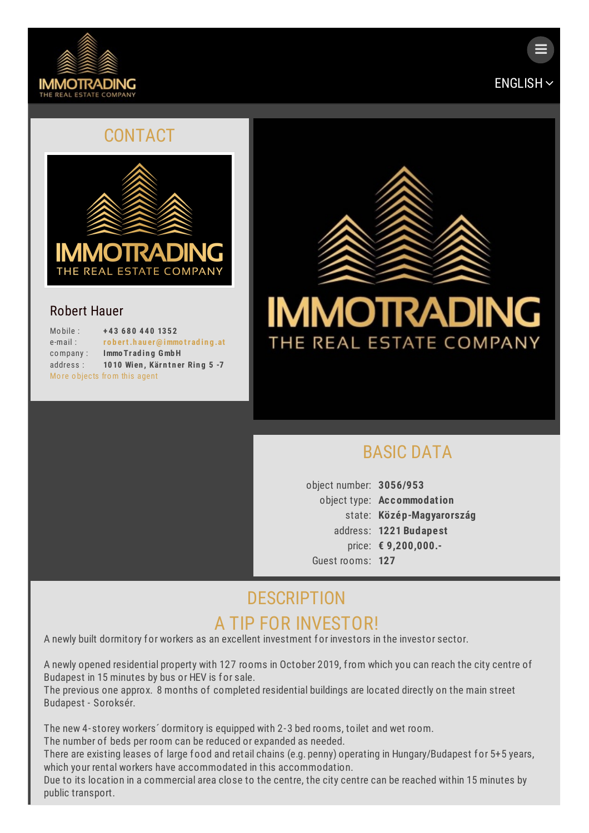



 $\equiv$ 

#### CONTACT



#### Robert Hauer

| Mobile:    | +43 680 440 1352              |
|------------|-------------------------------|
| $e$ -mail: | robert.hauer@immotrading.at   |
| company:   | Immo Trading GmbH             |
| address:   | 1010 Wien, Kärntner Ring 5 -7 |
|            | More objects from this agent  |



# [BASIC](#page-0-0) DATA

<span id="page-0-0"></span>object number: **3056/953** object type: **Ac commodation** state: **Közép-Magyarország** address: **1221 Budapest** price: **€ 9,200,000.-** Guest rooms: **127**

# **[DESCRIPTION](#page-1-0)** A TIP FOR INVESTOR!

A newly built dormitory for workers as an excellent investment for investors in the investor sector.

A newly opened residential property with 127 rooms in October 2019, from which you can reach the city centre of Budapest in 15 minutes by bus or HEV is for sale.

The previous one approx. 8 months of completed residential buildings are located directly on the main street Budapest - Soroksér.

The new 4-storey workers´ dormitory is equipped with 2-3 bed rooms, toilet and wet room. The number of beds per room can be reduced or expanded as needed.

There are existing leases of large food and retail chains (e.g. penny) operating in Hungary/Budapest for 5+5 years, which your rental workers have accommodated in this accommodation.

Due to its location in a commercial area close to the centre, the city centre can be reached within 15 minutes by public transport.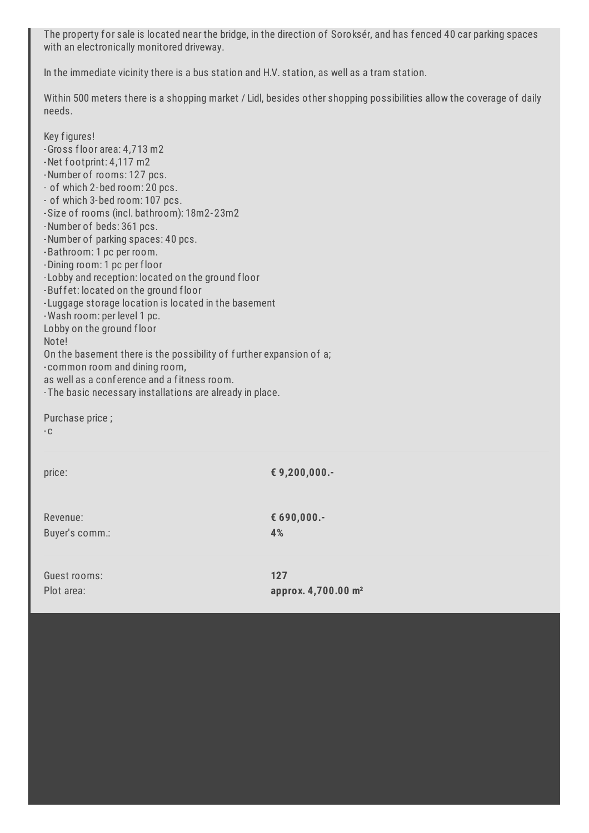<span id="page-1-0"></span>The property for sale is located near the bridge, in the direction of Soroksér, and has fenced 40 car parking spaces with an electronically monitored driveway.

In the immediate vicinity there is a bus station and H.V. station, as well as a tram station.

Within 500 meters there is a shopping market / Lidl, besides other shopping possibilities allow the coverage of daily needs.

| Key figures!<br>-Gross floor area: 4,713 m2<br>-Net footprint: 4,117 m2<br>-Number of rooms: 127 pcs.<br>- of which 2-bed room: 20 pcs.<br>- of which 3-bed room: 107 pcs.<br>-Size of rooms (incl. bathroom): 18m2-23m2<br>-Number of beds: 361 pcs.<br>-Number of parking spaces: 40 pcs.<br>-Bathroom: 1 pc per room.<br>-Dining room: 1 pc per floor<br>-Lobby and reception: located on the ground floor<br>-Buffet: located on the ground floor<br>-Luggage storage location is located in the basement<br>-Wash room: per level 1 pc.<br>Lobby on the ground floor<br>Note!<br>On the basement there is the possibility of further expansion of a;<br>-common room and dining room,<br>as well as a conference and a fitness room.<br>- The basic necessary installations are already in place. |                                        |
|--------------------------------------------------------------------------------------------------------------------------------------------------------------------------------------------------------------------------------------------------------------------------------------------------------------------------------------------------------------------------------------------------------------------------------------------------------------------------------------------------------------------------------------------------------------------------------------------------------------------------------------------------------------------------------------------------------------------------------------------------------------------------------------------------------|----------------------------------------|
| Purchase price;<br>$-C$                                                                                                                                                                                                                                                                                                                                                                                                                                                                                                                                                                                                                                                                                                                                                                                |                                        |
| price:                                                                                                                                                                                                                                                                                                                                                                                                                                                                                                                                                                                                                                                                                                                                                                                                 | € 9,200,000.-                          |
| Revenue:<br>Buyer's comm.:                                                                                                                                                                                                                                                                                                                                                                                                                                                                                                                                                                                                                                                                                                                                                                             | € 690,000.-<br>4%                      |
| Guest rooms:<br>Plot area:                                                                                                                                                                                                                                                                                                                                                                                                                                                                                                                                                                                                                                                                                                                                                                             | 127<br>approx. 4,700.00 m <sup>2</sup> |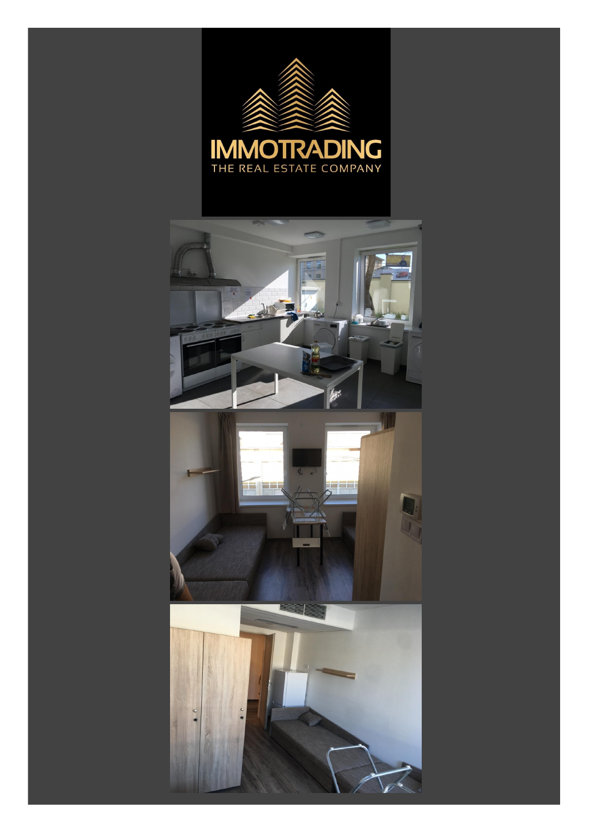